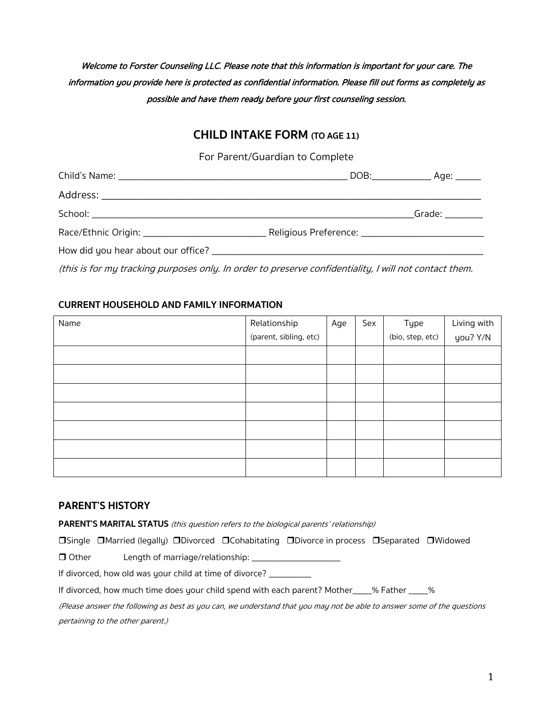# Welcome to Forster Counseling LLC. Please note that this information is important for your care. The information you provide here is protected as confidential information. Please fill out forms as completely as possible and have them ready before your first counseling session.

# **CHILD INTAKE FORM (TO AGE 11)**

For Parent/Guardian to Complete

|  | Grade: Carrier Control |
|--|------------------------|
|  |                        |
|  |                        |

(this is for my tracking purposes only. In order to preserve confidentiality, I will not contact them.

### **CURRENT HOUSEHOLD AND FAMILY INFORMATION**

| Name | Relationship           | Age | Sex | Type             | Living with |
|------|------------------------|-----|-----|------------------|-------------|
|      | (parent, sibling, etc) |     |     | (bio, step, etc) | you? Y/N    |
|      |                        |     |     |                  |             |
|      |                        |     |     |                  |             |
|      |                        |     |     |                  |             |
|      |                        |     |     |                  |             |
|      |                        |     |     |                  |             |
|      |                        |     |     |                  |             |
|      |                        |     |     |                  |             |

# **PARENT'S HISTORY**

**PARENT'S MARITAL STATUS** (this question refers to the biological parents' relationship)

rSingle rMarried (legally) rDivorced rCohabitating rDivorce in process rSeparated rWidowed

 $\Box$  Other Length of marriage/relationship:  $\Box$ 

If divorced, how old was your child at time of divorce? \_\_\_\_\_\_\_\_\_\_\_\_\_\_\_\_\_\_\_\_\_\_\_\_

If divorced, how much time does your child spend with each parent? Mother\_\_\_\_\_% Father \_\_\_\_\_%

(Please answer the following as best as you can, we understand that you may not be able to answer some of the questions pertaining to the other parent.)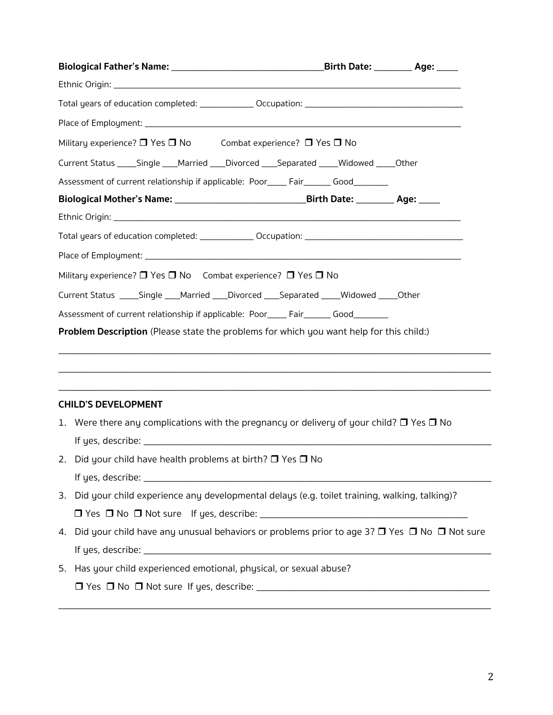| Military experience? $\Box$ Yes $\Box$ No Combat experience? $\Box$ Yes $\Box$ No                                                                                               |  |
|---------------------------------------------------------------------------------------------------------------------------------------------------------------------------------|--|
| Current Status _____Single ____Married ____Divorced ____Separated _____Widowed _____Other                                                                                       |  |
| Assessment of current relationship if applicable: Poor_____ Fair_______ Good________                                                                                            |  |
| Biological Mother's Name: ___________________________________Birth Date: _________ Age: _____                                                                                   |  |
|                                                                                                                                                                                 |  |
|                                                                                                                                                                                 |  |
|                                                                                                                                                                                 |  |
| Military experience? $\Box$ Yes $\Box$ No Combat experience? $\Box$ Yes $\Box$ No                                                                                               |  |
| Current Status _____Single ____Married ____Divorced ____Separated _____Widowed _____Other                                                                                       |  |
| Assessment of current relationship if applicable: Poor_____ Fair_______ Good________<br>Problem Description (Please state the problems for which you want help for this child:) |  |
|                                                                                                                                                                                 |  |
|                                                                                                                                                                                 |  |
|                                                                                                                                                                                 |  |
| <b>CHILD'S DEVELOPMENT</b>                                                                                                                                                      |  |
| 1. Were there any complications with the pregnancy or delivery of your child? $\Box$ Yes $\Box$ No                                                                              |  |
|                                                                                                                                                                                 |  |
| 2. Did your child have health problems at birth? $\Box$ Yes $\Box$ No                                                                                                           |  |
|                                                                                                                                                                                 |  |
| 3. Did your child experience any developmental delays (e.g. toilet training, walking, talking)?                                                                                 |  |
|                                                                                                                                                                                 |  |
| Did your child have any unusual behaviors or problems prior to age 3? □ Yes □ No □ Not sure<br>4.                                                                               |  |
|                                                                                                                                                                                 |  |
| 5. Has your child experienced emotional, physical, or sexual abuse?                                                                                                             |  |
|                                                                                                                                                                                 |  |

\_\_\_\_\_\_\_\_\_\_\_\_\_\_\_\_\_\_\_\_\_\_\_\_\_\_\_\_\_\_\_\_\_\_\_\_\_\_\_\_\_\_\_\_\_\_\_\_\_\_\_\_\_\_\_\_\_\_\_\_\_\_\_\_\_\_\_\_\_\_\_\_\_\_\_\_\_\_\_\_\_\_\_\_\_\_\_\_\_\_\_\_\_\_\_\_\_\_\_\_\_\_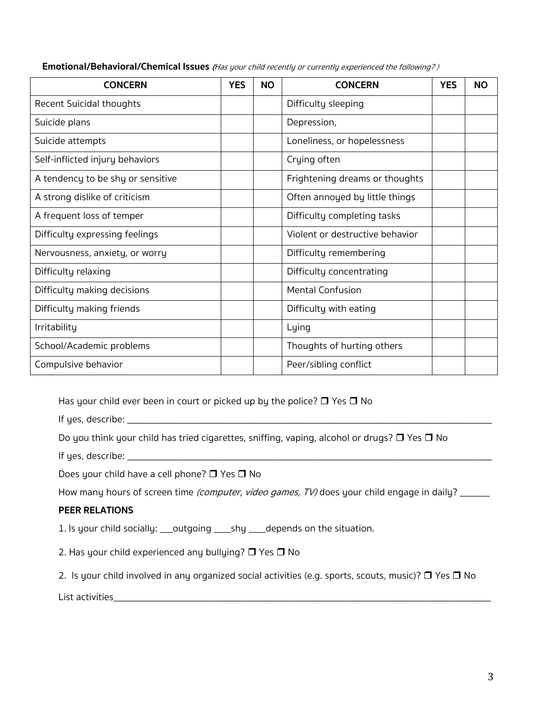| <b>CONCERN</b>                    | <b>YES</b> | <b>NO</b> | <b>CONCERN</b>                  | <b>YES</b> | <b>NO</b> |
|-----------------------------------|------------|-----------|---------------------------------|------------|-----------|
| <b>Recent Suicidal thoughts</b>   |            |           | Difficulty sleeping             |            |           |
| Suicide plans                     |            |           | Depression,                     |            |           |
| Suicide attempts                  |            |           | Loneliness, or hopelessness     |            |           |
| Self-inflicted injury behaviors   |            |           | Crying often                    |            |           |
| A tendency to be shy or sensitive |            |           | Frightening dreams or thoughts  |            |           |
| A strong dislike of criticism     |            |           | Often annoyed by little things  |            |           |
| A frequent loss of temper         |            |           | Difficulty completing tasks     |            |           |
| Difficulty expressing feelings    |            |           | Violent or destructive behavior |            |           |
| Nervousness, anxiety, or worry    |            |           | Difficulty remembering          |            |           |
| Difficulty relaxing               |            |           | Difficulty concentrating        |            |           |
| Difficulty making decisions       |            |           | Mental Confusion                |            |           |
| Difficulty making friends         |            |           | Difficulty with eating          |            |           |
| Irritability                      |            |           | Lying                           |            |           |
| School/Academic problems          |            |           | Thoughts of hurting others      |            |           |
| Compulsive behavior               |            |           | Peer/sibling conflict           |            |           |

**Emotional/Behavioral/Chemical Issues** (Has your child recently or currently experienced the following? )

Has your child ever been in court or picked up by the police?  $\Box$  Yes  $\Box$  No

If yes, describe: \_\_\_\_\_\_\_\_\_\_\_\_\_\_\_\_\_\_\_\_\_\_\_\_\_\_\_\_\_\_\_\_\_\_\_\_\_\_\_\_\_\_\_\_\_\_\_\_\_\_\_\_\_\_\_\_\_\_\_\_\_\_\_\_\_\_\_\_\_\_\_\_\_\_\_\_\_\_\_\_\_\_\_\_\_\_

Do you think your child has tried cigarettes, sniffing, vaping, alcohol or drugs?  $\Box$  Yes  $\Box$  No

If yes, describe: \_\_\_\_\_\_\_\_\_\_\_\_\_\_\_\_\_\_\_\_\_\_\_\_\_\_\_\_\_\_\_\_\_\_\_\_\_\_\_\_\_\_\_\_\_\_\_\_\_\_\_\_\_\_\_\_\_\_\_\_\_\_\_\_\_\_\_\_\_\_\_\_\_\_\_\_\_\_\_\_\_\_\_\_\_\_

Does your child have a cell phone?  $\Box$  Yes  $\Box$  No

How many hours of screen time (computer, video games, TV) does your child engage in daily? \_\_\_\_\_\_

#### **PEER RELATIONS**

1. Is your child socially: \_\_\_outgoing \_\_\_\_shy \_\_\_\_depends on the situation.

2. Has your child experienced any bullying?  $\Box$  Yes  $\Box$  No

2. Is your child involved in any organized social activities (e.g. sports, scouts, music)?  $\Box$  Yes  $\Box$  No

List activities\_\_\_\_\_\_\_\_\_\_\_\_\_\_\_\_\_\_\_\_\_\_\_\_\_\_\_\_\_\_\_\_\_\_\_\_\_\_\_\_\_\_\_\_\_\_\_\_\_\_\_\_\_\_\_\_\_\_\_\_\_\_\_\_\_\_\_\_\_\_\_\_\_\_\_\_\_\_\_\_\_\_\_\_\_\_\_\_\_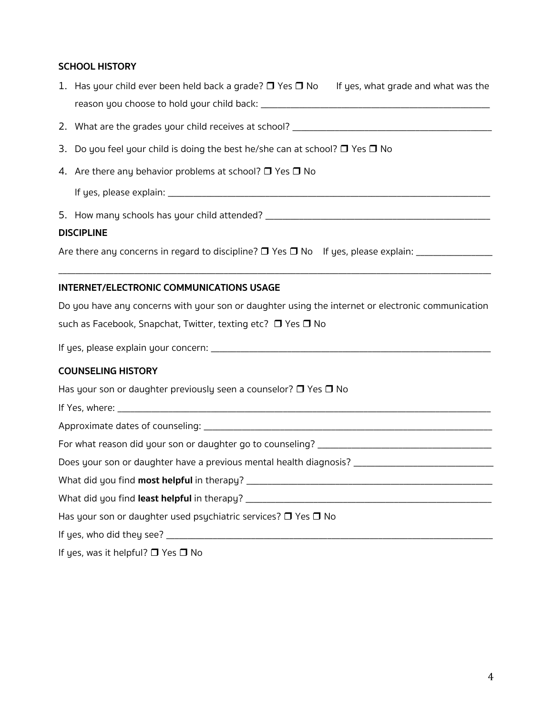## **SCHOOL HISTORY**

| 1. Has your child ever been held back a grade? $\Box$ Yes $\Box$ No If yes, what grade and what was the |
|---------------------------------------------------------------------------------------------------------|
|                                                                                                         |
| 3. Do you feel your child is doing the best he/she can at school? $\Box$ Yes $\Box$ No                  |
| 4. Are there any behavior problems at school? $\Box$ Yes $\Box$ No                                      |
|                                                                                                         |
|                                                                                                         |
| <b>DISCIPLINE</b>                                                                                       |
|                                                                                                         |
| <b>INTERNET/ELECTRONIC COMMUNICATIONS USAGE</b>                                                         |
| Do you have any concerns with your son or daughter using the internet or electronic communication       |
| such as Facebook, Snapchat, Twitter, texting etc? □ Yes □ No                                            |
|                                                                                                         |
| <b>COUNSELING HISTORY</b>                                                                               |
| Has your son or daughter previously seen a counselor? $\Box$ Yes $\Box$ No                              |
|                                                                                                         |
|                                                                                                         |
|                                                                                                         |
| Does your son or daughter have a previous mental health diagnosis? _________________________________    |
|                                                                                                         |
|                                                                                                         |
| Has your son or daughter used psychiatric services? $\Box$ Yes $\Box$ No                                |
|                                                                                                         |
| If yes, was it helpful? $\Box$ Yes $\Box$ No                                                            |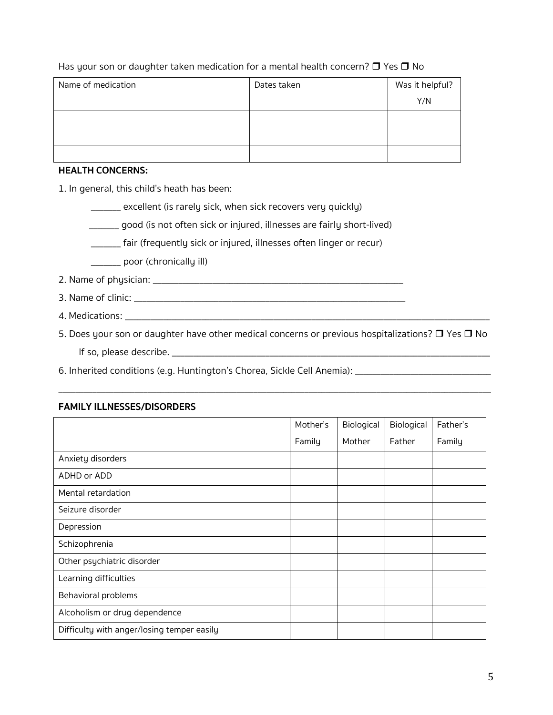| Name of medication | Dates taken | Was it helpful? |
|--------------------|-------------|-----------------|
|                    |             | Y/N             |
|                    |             |                 |
|                    |             |                 |
|                    |             |                 |

Has your son or daughter taken medication for a mental health concern?  $\Box$  Yes  $\Box$  No

#### **HEALTH CONCERNS:**

1. In general, this child's heath has been:

\_\_\_\_\_\_\_ excellent (is rarely sick, when sick recovers very quickly)

\_\_\_\_\_\_\_ good (is not often sick or injured, illnesses are fairly short-lived)

\_\_\_\_\_\_\_ fair (frequently sick or injured, illnesses often linger or recur)

\_\_\_\_\_\_\_ poor (chronically ill)

2. Name of physician: \_\_\_\_\_\_\_\_\_\_\_\_\_\_\_\_\_\_\_\_\_\_\_\_\_\_\_\_\_\_\_\_\_\_\_\_\_\_\_\_\_\_\_\_\_\_\_\_\_\_\_\_\_\_\_\_\_\_\_

- 3. Name of clinic:
- 4. Medications: \_\_\_\_\_\_\_\_\_\_\_\_\_\_\_\_\_\_\_\_\_\_\_\_\_\_\_\_\_\_\_\_\_\_\_\_\_\_\_\_\_\_\_\_\_\_\_\_\_\_\_\_\_\_\_\_\_\_\_\_\_\_\_\_\_\_\_\_\_\_\_\_\_\_\_\_\_\_\_\_\_\_\_\_\_\_

5. Does your son or daughter have other medical concerns or previous hospitalizations?  $\Box$  Yes  $\Box$  No If so, please describe. \_\_\_\_\_\_\_\_\_\_\_\_\_\_\_\_\_\_\_\_\_\_\_\_\_\_\_\_\_\_\_\_\_\_\_\_\_\_\_\_\_\_\_\_\_\_\_\_\_\_\_\_\_\_\_\_\_\_\_\_\_\_\_\_\_\_\_\_\_\_\_\_\_\_\_

\_\_\_\_\_\_\_\_\_\_\_\_\_\_\_\_\_\_\_\_\_\_\_\_\_\_\_\_\_\_\_\_\_\_\_\_\_\_\_\_\_\_\_\_\_\_\_\_\_\_\_\_\_\_\_\_\_\_\_\_\_\_\_\_\_\_\_\_\_\_\_\_\_\_\_\_\_\_\_\_\_\_\_\_\_\_\_\_\_\_\_\_\_\_\_\_\_\_\_\_\_\_

6. Inherited conditions (e.g. Huntington's Chorea, Sickle Cell Anemia): \_\_\_\_\_\_\_\_\_\_\_\_\_\_\_\_\_\_\_\_\_\_\_\_\_\_\_\_

#### **FAMILY ILLNESSES/DISORDERS**

|                                            | Mother's | Biological | Biological | Father's |
|--------------------------------------------|----------|------------|------------|----------|
|                                            | Family   | Mother     | Father     | Family   |
| Anxiety disorders                          |          |            |            |          |
| ADHD or ADD                                |          |            |            |          |
| Mental retardation                         |          |            |            |          |
| Seizure disorder                           |          |            |            |          |
| Depression                                 |          |            |            |          |
| Schizophrenia                              |          |            |            |          |
| Other psychiatric disorder                 |          |            |            |          |
| Learning difficulties                      |          |            |            |          |
| Behavioral problems                        |          |            |            |          |
| Alcoholism or drug dependence              |          |            |            |          |
| Difficulty with anger/losing temper easily |          |            |            |          |